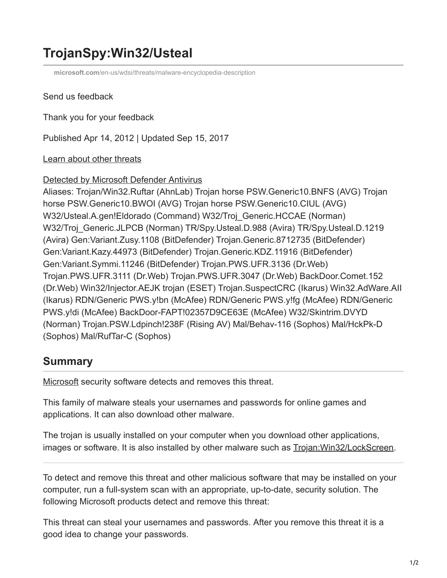# **TrojanSpy:Win32/Usteal**

**microsoft.com**[/en-us/wdsi/threats/malware-encyclopedia-description](https://www.microsoft.com/en-us/wdsi/threats/malware-encyclopedia-description?Name=TrojanSpy:Win32/Usteal)

#### Send us feedback

Thank you for your feedback

Published Apr 14, 2012 | Updated Sep 15, 2017

### [Learn about other threats](https://www.microsoft.com/en-us/wdsi/threats/)

#### [Detected by Microsoft Defender Antivirus](https://www.microsoft.com/en-us/windows/windows-defender?ocid=cx-wdsi-ency)

Aliases: Trojan/Win32.Ruftar (AhnLab) Trojan horse PSW.Generic10.BNFS (AVG) Trojan horse PSW.Generic10.BWOI (AVG) Trojan horse PSW.Generic10.CIUL (AVG) W32/Usteal.A.gen!Eldorado (Command) W32/Troj\_Generic.HCCAE (Norman) W32/Troj\_Generic.JLPCB (Norman) TR/Spy.Usteal.D.988 (Avira) TR/Spy.Usteal.D.1219 (Avira) Gen:Variant.Zusy.1108 (BitDefender) Trojan.Generic.8712735 (BitDefender) Gen:Variant.Kazy.44973 (BitDefender) Trojan.Generic.KDZ.11916 (BitDefender) Gen:Variant.Symmi.11246 (BitDefender) Trojan.PWS.UFR.3136 (Dr.Web) Trojan.PWS.UFR.3111 (Dr.Web) Trojan.PWS.UFR.3047 (Dr.Web) BackDoor.Comet.152 (Dr.Web) Win32/Injector.AEJK trojan (ESET) Trojan.SuspectCRC (Ikarus) Win32.AdWare.AII (Ikarus) RDN/Generic PWS.y!bn (McAfee) RDN/Generic PWS.y!fg (McAfee) RDN/Generic PWS.y!di (McAfee) BackDoor-FAPT!02357D9CE63E (McAfee) W32/Skintrim.DVYD (Norman) Trojan.PSW.Ldpinch!238F (Rising AV) Mal/Behav-116 (Sophos) Mal/HckPk-D (Sophos) Mal/RufTar-C (Sophos)

## **Summary**

[Microsoft](http://windows.microsoft.com/en-us/windows/using-defender#1TC=windows-10) security software detects and removes this threat.

This family of malware steals your usernames and passwords for online games and applications. It can also download other malware.

The trojan is usually installed on your computer when you download other applications, images or software. It is also installed by other malware such as **[Trojan:Win32/LockScreen](http://www.microsoft.com/security/portal/threat/encyclopedia/Entry.aspx?Name=Trojan%3aWin32%2fLockScreen)**.

To detect and remove this threat and other malicious software that may be installed on your computer, run a full-system scan with an appropriate, up-to-date, security solution. The following Microsoft products detect and remove this threat:

This threat can steal your usernames and passwords. After you remove this threat it is a good idea to change your passwords.